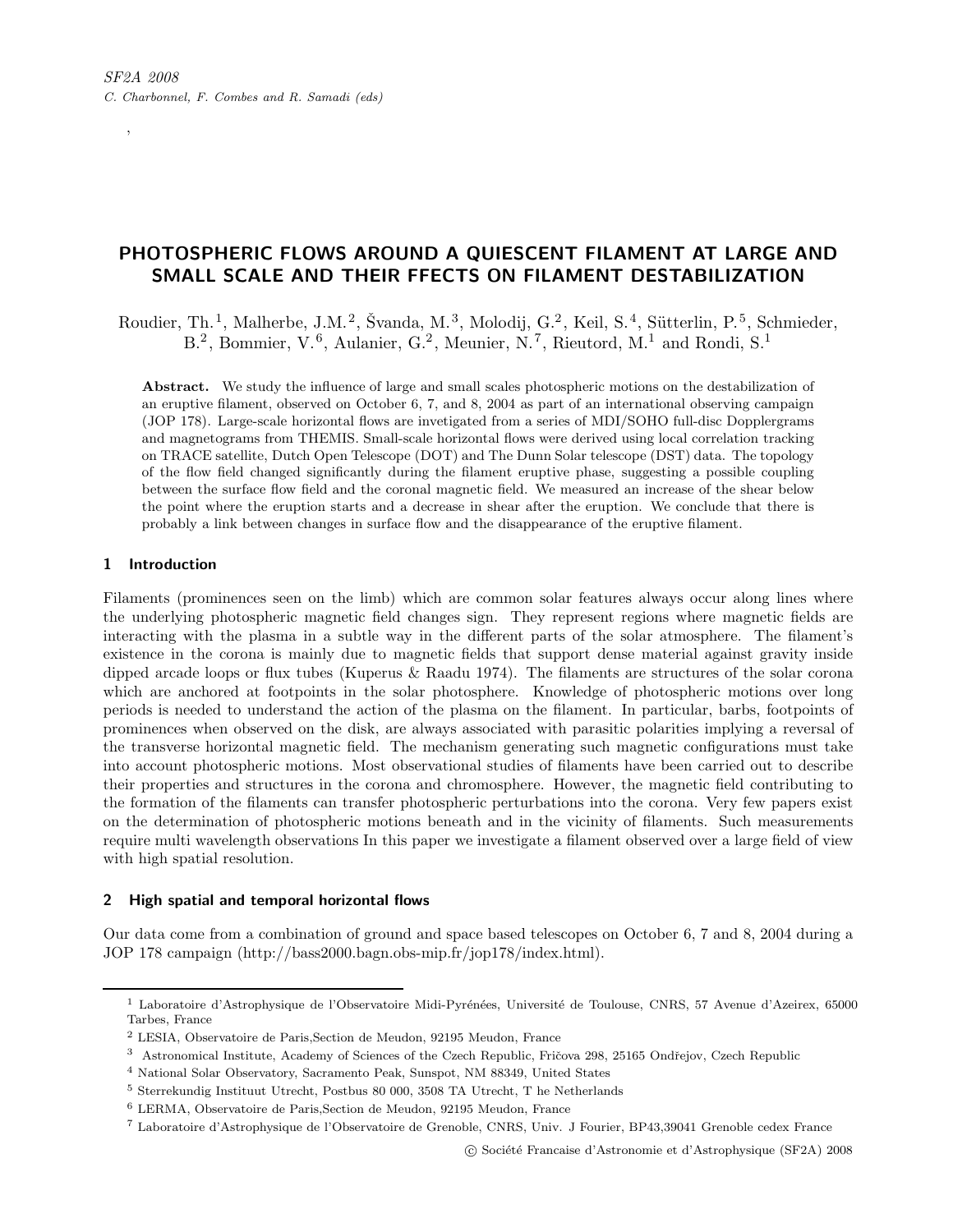# PHOTOSPHERIC FLOWS AROUND A QUIESCENT FILAMENT AT LARGE AND SMALL SCALE AND THEIR FFECTS ON FILAMENT DESTABILIZATION

Roudier, Th.<sup>1</sup>, Malherbe, J.M.<sup>2</sup>, Švanda, M.<sup>3</sup>, Molodij, G.<sup>2</sup>, Keil, S.<sup>4</sup>, Sütterlin, P.<sup>5</sup>, Schmieder, B.<sup>2</sup>, Bommier, V.<sup>6</sup>, Aulanier, G.<sup>2</sup>, Meunier, N.<sup>7</sup>, Rieutord, M.<sup>1</sup> and Rondi, S.<sup>1</sup>

Abstract. We study the influence of large and small scales photospheric motions on the destabilization of an eruptive filament, observed on October 6, 7, and 8, 2004 as part of an international observing campaign (JOP 178). Large-scale horizontal flows are invetigated from a series of MDI/SOHO full-disc Dopplergrams and magnetograms from THEMIS. Small-scale horizontal flows were derived using local correlation tracking on TRACE satellite, Dutch Open Telescope (DOT) and The Dunn Solar telescope (DST) data. The topology of the flow field changed significantly during the filament eruptive phase, suggesting a possible coupling between the surface flow field and the coronal magnetic field. We measured an increase of the shear below the point where the eruption starts and a decrease in shear after the eruption. We conclude that there is probably a link between changes in surface flow and the disappearance of the eruptive filament.

# 1 Introduction

,

Filaments (prominences seen on the limb) which are common solar features always occur along lines where the underlying photospheric magnetic field changes sign. They represent regions where magnetic fields are interacting with the plasma in a subtle way in the different parts of the solar atmosphere. The filament's existence in the corona is mainly due to magnetic fields that support dense material against gravity inside dipped arcade loops or flux tubes (Kuperus & Raadu 1974). The filaments are structures of the solar corona which are anchored at footpoints in the solar photosphere. Knowledge of photospheric motions over long periods is needed to understand the action of the plasma on the filament. In particular, barbs, footpoints of prominences when observed on the disk, are always associated with parasitic polarities implying a reversal of the transverse horizontal magnetic field. The mechanism generating such magnetic configurations must take into account photospheric motions. Most observational studies of filaments have been carried out to describe their properties and structures in the corona and chromosphere. However, the magnetic field contributing to the formation of the filaments can transfer photospheric perturbations into the corona. Very few papers exist on the determination of photospheric motions beneath and in the vicinity of filaments. Such measurements require multi wavelength observations In this paper we investigate a filament observed over a large field of view with high spatial resolution.

# 2 High spatial and temporal horizontal flows

Our data come from a combination of ground and space based telescopes on October 6, 7 and 8, 2004 during a JOP 178 campaign (http://bass2000.bagn.obs-mip.fr/jop178/index.html).

<sup>&</sup>lt;sup>1</sup> Laboratoire d'Astrophysique de l'Observatoire Midi-Pyrénées, Université de Toulouse, CNRS, 57 Avenue d'Azeirex, 65000 Tarbes, France

 $^2$ LESIA, Observatoire de Paris,Section de Meudon, 92<br/>195<br> Meudon, France

<sup>&</sup>lt;sup>3</sup> Astronomical Institute, Academy of Sciences of the Czech Republic, Fričova 298, 25165 Ondřejov, Czech Republic

<sup>4</sup> National Solar Observatory, Sacramento Peak, Sunspot, NM 88349, United States

<sup>5</sup> Sterrekundig Instituut Utrecht, Postbus 80 000, 3508 TA Utrecht, T he Netherlands

<sup>6</sup> LERMA, Observatoire de Paris,Section de Meudon, 92195 Meudon, France

<sup>7</sup> Laboratoire d'Astrophysique de l'Observatoire de Grenoble, CNRS, Univ. J Fourier, BP43,39041 Grenoble cedex France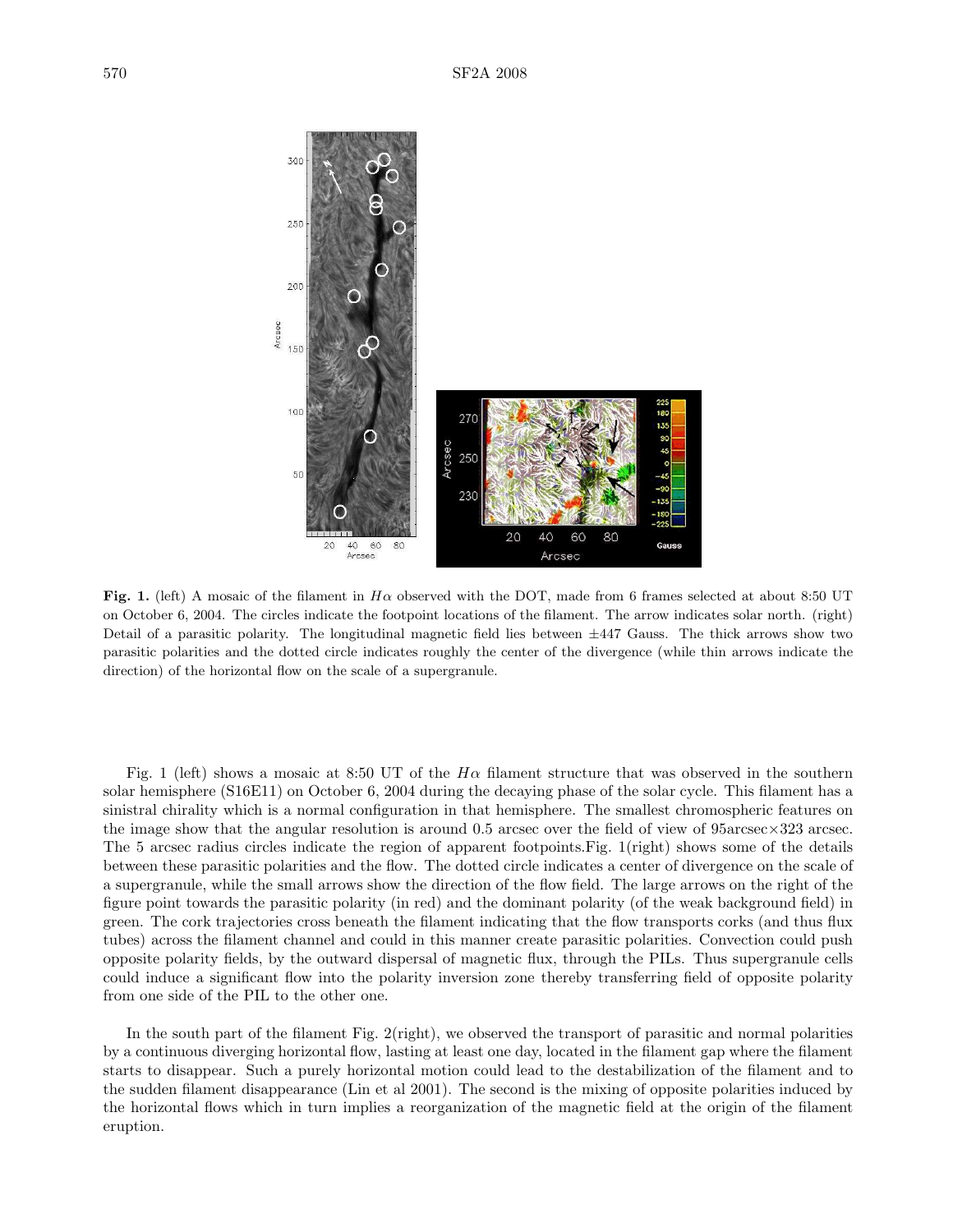

Fig. 1. (left) A mosaic of the filament in  $H\alpha$  observed with the DOT, made from 6 frames selected at about 8:50 UT on October 6, 2004. The circles indicate the footpoint locations of the filament. The arrow indicates solar north. (right) Detail of a parasitic polarity. The longitudinal magnetic field lies between  $\pm 447$  Gauss. The thick arrows show two parasitic polarities and the dotted circle indicates roughly the center of the divergence (while thin arrows indicate the direction) of the horizontal flow on the scale of a supergranule.

Fig. 1 (left) shows a mosaic at 8:50 UT of the  $H\alpha$  filament structure that was observed in the southern solar hemisphere (S16E11) on October 6, 2004 during the decaying phase of the solar cycle. This filament has a sinistral chirality which is a normal configuration in that hemisphere. The smallest chromospheric features on the image show that the angular resolution is around 0.5 arcsec over the field of view of  $95a$ rcsec $\times$ 323 arcsec. The 5 arcsec radius circles indicate the region of apparent footpoints.Fig. 1(right) shows some of the details between these parasitic polarities and the flow. The dotted circle indicates a center of divergence on the scale of a supergranule, while the small arrows show the direction of the flow field. The large arrows on the right of the figure point towards the parasitic polarity (in red) and the dominant polarity (of the weak background field) in green. The cork trajectories cross beneath the filament indicating that the flow transports corks (and thus flux tubes) across the filament channel and could in this manner create parasitic polarities. Convection could push opposite polarity fields, by the outward dispersal of magnetic flux, through the PILs. Thus supergranule cells could induce a significant flow into the polarity inversion zone thereby transferring field of opposite polarity from one side of the PIL to the other one.

In the south part of the filament Fig. 2(right), we observed the transport of parasitic and normal polarities by a continuous diverging horizontal flow, lasting at least one day, located in the filament gap where the filament starts to disappear. Such a purely horizontal motion could lead to the destabilization of the filament and to the sudden filament disappearance (Lin et al 2001). The second is the mixing of opposite polarities induced by the horizontal flows which in turn implies a reorganization of the magnetic field at the origin of the filament eruption.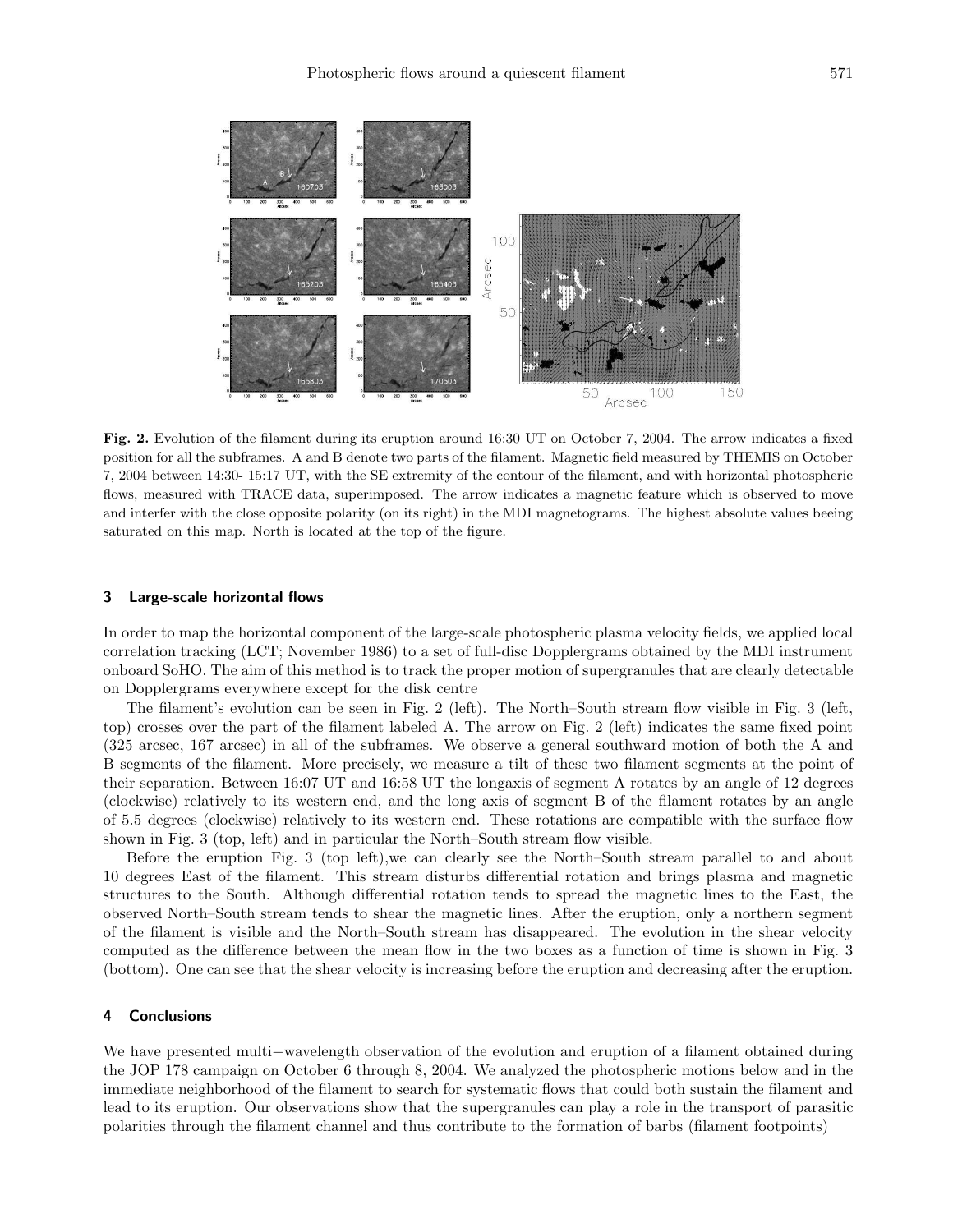

Fig. 2. Evolution of the filament during its eruption around 16:30 UT on October 7, 2004. The arrow indicates a fixed position for all the subframes. A and B denote two parts of the filament. Magnetic field measured by THEMIS on October 7, 2004 between 14:30- 15:17 UT, with the SE extremity of the contour of the filament, and with horizontal photospheric flows, measured with TRACE data, superimposed. The arrow indicates a magnetic feature which is observed to move and interfer with the close opposite polarity (on its right) in the MDI magnetograms. The highest absolute values beeing saturated on this map. North is located at the top of the figure.

#### 3 Large-scale horizontal flows

In order to map the horizontal component of the large-scale photospheric plasma velocity fields, we applied local correlation tracking (LCT; November 1986) to a set of full-disc Dopplergrams obtained by the MDI instrument onboard SoHO. The aim of this method is to track the proper motion of supergranules that are clearly detectable on Dopplergrams everywhere except for the disk centre

The filament's evolution can be seen in Fig. 2 (left). The North–South stream flow visible in Fig. 3 (left, top) crosses over the part of the filament labeled A. The arrow on Fig. 2 (left) indicates the same fixed point (325 arcsec, 167 arcsec) in all of the subframes. We observe a general southward motion of both the A and B segments of the filament. More precisely, we measure a tilt of these two filament segments at the point of their separation. Between 16:07 UT and 16:58 UT the longaxis of segment A rotates by an angle of 12 degrees (clockwise) relatively to its western end, and the long axis of segment B of the filament rotates by an angle of 5.5 degrees (clockwise) relatively to its western end. These rotations are compatible with the surface flow shown in Fig. 3 (top, left) and in particular the North–South stream flow visible.

Before the eruption Fig. 3 (top left),we can clearly see the North–South stream parallel to and about 10 degrees East of the filament. This stream disturbs differential rotation and brings plasma and magnetic structures to the South. Although differential rotation tends to spread the magnetic lines to the East, the observed North–South stream tends to shear the magnetic lines. After the eruption, only a northern segment of the filament is visible and the North–South stream has disappeared. The evolution in the shear velocity computed as the difference between the mean flow in the two boxes as a function of time is shown in Fig. 3 (bottom). One can see that the shear velocity is increasing before the eruption and decreasing after the eruption.

### 4 Conclusions

We have presented multi−wavelength observation of the evolution and eruption of a filament obtained during the JOP 178 campaign on October 6 through 8, 2004. We analyzed the photospheric motions below and in the immediate neighborhood of the filament to search for systematic flows that could both sustain the filament and lead to its eruption. Our observations show that the supergranules can play a role in the transport of parasitic polarities through the filament channel and thus contribute to the formation of barbs (filament footpoints)